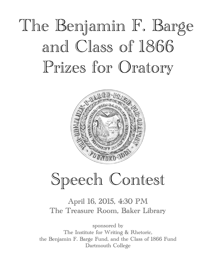# The Benjamin F. Barge and Class of 1866 Prizes for Oratory



## Speech Contest

## April 16, 2015, 4:30 PM The Treasure Room, Baker Library

sponsored by The Institute for Writing & Rhetoric, the Benjamin F. Barge Fund, and the Class of 1866 Fund Dartmouth College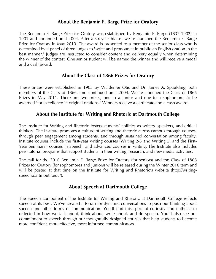## **About the Benjamin F. Barge Prize for Oratory**

The Benjamin F. Barge Prize for Oratory was established by Benjamin F. Barge (1832-1902) in 1901 and continued until 2004. After a six-year hiatus, we re-launched the Benjamin F. Barge Prize for Oratory in May 2010. The award is presented to a member of the senior class who is determined by a panel of three judges to "write and pronounce in public an English oration in the best manner." Judges are instructed to consider content and delivery equally when determining the winner of the contest. One senior student will be named the winner and will receive a medal and a cash award.

## **About the Class of 1866 Prizes for Oratory**

These prizes were established in 1905 by Waldemer Otis and Dr. James A. Spaulding, both members of the Class of 1866, and continued until 2004. We re-launched the Class of 1866 Prizes in May 2011. There are two prizes, one to a junior and one to a sophomore, to be awarded "for excellence in original orations." Winners receive a certificate and a cash award.

## **About the Institute for Writing and Rhetoric at Dartmouth College**

The Institute for Writing and Rhetoric fosters students' abilities as writers, speakers, and critical thinkers. The Institute promotes a culture of writing and rhetoric across campus through courses, through peer engagement among students, and through sustained conversation among faculty. Institute courses include the first-year writing courses (Writing 2-3 and Writing 5, and the First-Year Seminars); courses in Speech; and advanced courses in writing. The Institute also includes peer-tutorial programs that support students in their writing, research, and new media activities.

The call for the 2016 Benjamin F. Barge Prize for Oratory (for seniors) and the Class of 1866 Prizes for Oratory (for sophomores and juniors) will be released during the Winter 2016 term and will be posted at that time on the Institute for Writing and Rhetoric's website (http://writingspeech.dartmouth.edu/).

## **About Speech at Dartmouth College**

The Speech component of the Institute for Writing and Rhetoric at Dartmouth College reflects speech at its best. We've created a forum for dynamic conversations to push our thinking about speech and other forms of communication. You'll find this spirit of curiosity and enthusiasm reflected in how we talk about, think about, write about, and do speech. You'll also see our commitment to speech through our thoughtfully designed courses that help students to become more confident, more effective, more informed communicators.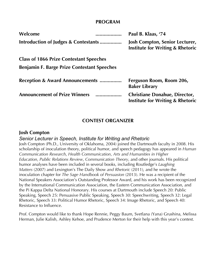#### **PROGRAM**

| Welcome<br>                                        | Paul B. Klaas, '74                                                                   |
|----------------------------------------------------|--------------------------------------------------------------------------------------|
| Introduction of Judges & Contestants               | <b>Josh Compton, Senior Lecturer,</b><br><b>Institute for Writing &amp; Rhetoric</b> |
| <b>Class of 1866 Prize Contestant Speeches</b>     |                                                                                      |
| <b>Benjamin F. Barge Prize Contestant Speeches</b> |                                                                                      |
| <b>Reception &amp; Award Announcements </b>        | Ferguson Room, Room 206,<br><b>Baker Library</b>                                     |
| <b>Announcement of Prize Winners</b><br>.          | <b>Christiane Donahue, Director,</b><br><b>Institute for Writing &amp; Rhetoric</b>  |

## **CONTEST ORGANIZER**

#### **Josh Compton**

*Senior Lecturer in Speech, Institute for Writing and Rhetoric*

Josh Compton (Ph.D., University of Oklahoma, 2004) joined the Dartmouth faculty in 2008. His scholarship of inoculation theory, political humor, and speech pedagogy has appeared in *Human Communication Research*, *Health Communication*, *Arts and Humanities in Higher Education*, *Public Relations Review*, *Communication Theory*, and other journals. His political humor analyses have been included in several books, including Routledge's *Laughing Matters* (2007) and Lexington's The Daily Show *and Rhetoric* (2011), and he wrote the inoculation chapter for *The Sage Handbook of Persuasion* (2013). He was a recipient of the National Speakers Association's Outstanding Professor Award, and his work has been recognized by the International Communication Association, the Eastern Communication Association, and the Pi Kappa Delta National Honorary. His courses at Dartmouth include Speech 20: Public Speaking, Speech 25: Persuasive Public Speaking, Speech 30: Speechwriting, Speech 32: Legal Rhetoric, Speech 33: Political Humor Rhetoric, Speech 34: Image Rhetoric, and Speech 40: Resistance to Influence.

Prof. Compton would like to thank Hope Rennie, Peggy Baum, Svetlana (Yana) Grushina, Melissa Herman, Julie Kalish, Ashley Kehoe, and Prudence Merton for their help with this year's contest.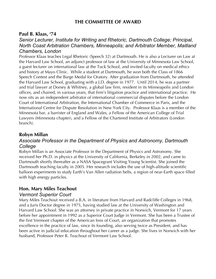## **THE COMMITTEE OF AWARD**

#### **Paul B. Klaas, '74**

#### *Senior Lecturer, Institute for Writing and Rhetoric, Dartmouth College; Principal, North Coast Arbitration Chambers, Minneapolis; and Arbitrator Member, Maitland Chambers, London*

Professor Klaas teaches Legal Rhetoric (Speech 32) at Dartmouth. He is also a Lecturer on Law at the Harvard Law School, an adjunct professor of law at the University of Minnesota Law School, a guest lecturer on international law at the Tuck School, and invited faculty on medical ethics and history at Mayo Clinic. While a student at Dartmouth, he won both the Class of 1866 Speech Contest and the Barge Medal for Oratory. After graduation from Dartmouth, he attended the Harvard Law School, graduating with a J.D. degree in 1977. Until 2014, he was a partner and trial lawyer at Dorsey & Whitney, a global law firm, resident in its Minneapolis and London offices, and chaired, in various years, that firm's litigation practice and international practice. He now sits as an independent arbitrator of international commercial disputes before the London Court of International Arbitration, the International Chamber of Commerce in Paris, and the International Centre for Dispute Resolution in New York City. Professor Klaas is a member of the Minnesota bar, a barrister of England and Wales, a Fellow of the American College of Trial Lawyers (Minnesota chapter), and a Fellow of the Chartered Institute of Arbitrators (London branch).

#### **Robyn Millan**

#### *Associate Professor in the Department of Physics and Astronomy, Dartmouth College*

Robyn Millan is an Associate Professor in the Department of Physics and Astronomy. She received her Ph.D. in physics at the University of California, Berkeley in 2002, and came to Dartmouth shortly thereafter as a NASA Spacegrant Visiting Young Scientist. She joined the Dartmouth teaching faculty in 2005. Her research includes the use of high-altitude scientific balloon experiments to study Earth's Van Allen radiation belts, a region of near-Earth space filled with high energy particles.

#### **Hon. Mary Miles Teachout**

#### *Vermont Superior Court*

Mary Miles Teachout received a B.A. in literature from Harvard and Radcliffe Colleges in 1968, and a Juris Doctor degree in 1975, having studied law at the University of Washington and Harvard Law School. She was an attorney in private practice in Norwich, Vermont for 17 years before her appointment in 1992 as a Superior Court Judge in Vermont. She has been a Trustee of the first Vermont chapter of the American Inns of Court, an organization that promotes excellence in the practice of law, since its founding, also serving twice as President, and has been active in judicial education throughout her career as a judge. She lives in Norwich with her husband, Professor Peter R. Teachout of Vermont Law School.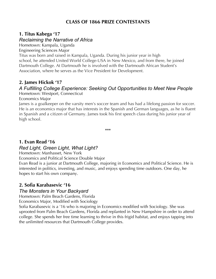## **CLASS OF 1866 PRIZE CONTESTANTS**

## **1. Titus Kabega '17**

#### *Reclaiming the Narrative of Africa*

Hometown: Kampala, Uganda

Engineering Sciences Major

Titus was born and raised in Kampala, Uganda. During his junior year in high school, he attended United World College-USA in New Mexico, and from there, he joined Dartmouth College. At Dartmouth he is involved with the Dartmouth African Student's Association, where he serves as the Vice President for Development.

## **2. James Hickok '17**

#### *A Fulfilling College Experience: Seeking Out Opportunities to Meet New People* Hometown: Westport, Connecticut

Economics Major

James is a goalkeeper on the varsity men's soccer team and has had a lifelong passion for soccer. He is an economics major that has interests in the Spanish and German languages, as he is fluent in Spanish and a citizen of Germany. James took his first speech class during his junior year of high school.

**\*\*\***

## **1. Evan Read '16**

## *Red Light, Green Light, What Light?*

Hometown: Manhasset, New York

Economics and Political Science Double Major

Evan Read is a junior at Dartmouth College, majoring in Economics and Political Science. He is interested in politics, investing, and music, and enjoys spending time outdoors. One day, he hopes to start his own company.

### **2. Sofia Karabasevic '16**

### *The Monsters in Your Backyard*

Hometown: Palm Beach Gardens, Florida

Economics Major, Modified with Sociology

Sofia Karabasevic is a '16 who is majoring in Economics modified with Sociology. She was uprooted from Palm Beach Gardens, Florida and replanted in New Hampshire in order to attend college. She spends her free time learning to thrive in this frigid habitat, and enjoys tapping into the unlimited resources that Dartmouth College provides.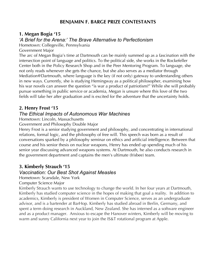## **BENJAMIN F. BARGE PRIZE CONTESTANTS**

## **1. Megan Bogia '15**

## *'A Brief for the Arena:' The Brave Alternative to Perfectionism*

Hometown: Collegeville, Pennsylvania

Government Major

The arc of Megan Bogia's time at Dartmouth can be mainly summed up as a fascination with the intersection point of language and politics. To the political side, she works in the Rockefeller Center both in the Policy Research Shop and in the Peer Mentoring Program. To language, she not only reads whenever she gets the chance, but she also serves as a mediator through Mediation@Dartmouth, where language is the key (if not only) gateway to understanding others in new ways. Currently, she is studying Hemingway as a political philosopher, examining how his war novels can answer the question "is war a product of patriotism?" While she will probably pursue something in public service or academia, Megan is unsure where this love of the two fields will take her after graduation and is excited for the adventure that the uncertainty holds.

## **2. Henry Frost '15**

## *The Ethical Impacts of Autonomous War Machines*

Hometown: Lincoln, Massachusetts

Government and Philosophy Double Major

Henry Frost is a senior studying government and philosophy, and concentrating in international relations, formal logic, and the philosophy of free will. This speech was born as a result of conversations sparked by a philosophy seminar on ethics and artificial intelligence. Between that course and his senior thesis on nuclear weapons, Henry has ended up spending much of his senior year discussing advanced weapons systems. At Dartmouth, he also conducts research in the government department and captains the men's ultimate (frisbee) team.

## **3. Kimberly Strauch '15**

## *Vaccination: Our Best Shot Against Measles*

Hometown: Scarsdale, New York

#### Computer Science Major

Kimberly Strauch wants to use technology to change the world. In her four years at Dartmouth, Kimberly has studied computer science in the hopes of making that goal a reality. In addition to academics, Kimberly is president of Women in Computer Science, serves as an undergraduate advisor, and is a bartender at BarHop. Kimberly has studied abroad in Berlin, Germany, and spent a term doing research in Auckland, New Zealand. She has interned as a software engineer and as a product manager. Anxious to escape the Hanover winters, Kimberly will be moving to warm and sunny California next year to join the IS&T rotational program at Apple.